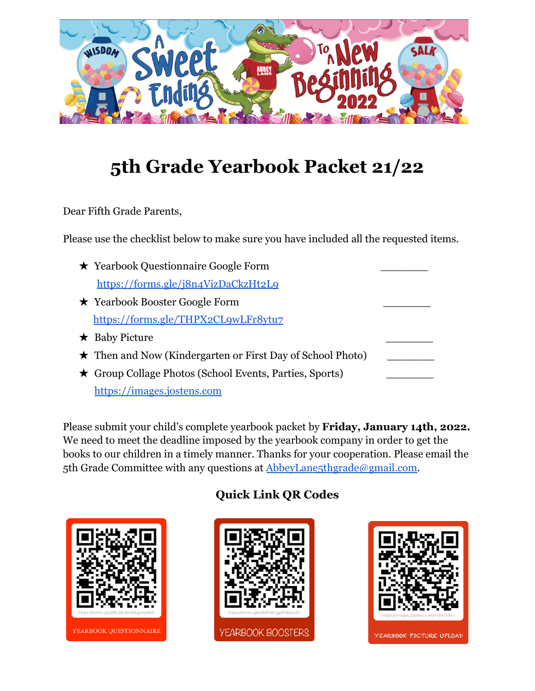

# **5th Grade Yearbook Packet 21/22**

Dear Fifth Grade Parents,

Please use the checklist below to make sure you have included all the requested items.

| ★ Yearbook Questionnaire Google Form                             |  |
|------------------------------------------------------------------|--|
| https://forms.gle/j8n4VizDaCkzHt2Lq                              |  |
| $\star$ Yearbook Booster Google Form                             |  |
| https://forms.gle/THPX2CL9wLFr8ytu7                              |  |
| $\star$ Baby Picture                                             |  |
| $\star$ Then and Now (Kindergarten or First Day of School Photo) |  |
| ★ Group Collage Photos (School Events, Parties, Sports)          |  |
| https://images.jostens.com                                       |  |

Please submit your child's complete yearbook packet by **Friday, January 14th, 2022.** We need to meet the deadline imposed by the yearbook company in order to get the books to our children in a timely manner. Thanks for your cooperation. Please email the 5th Grade Committee with any questions at [AbbeyLane5thgrade@gmail.com.](mailto:AbbeyLane5thgrade@gmail.com)



### **Quick Link QR Codes**